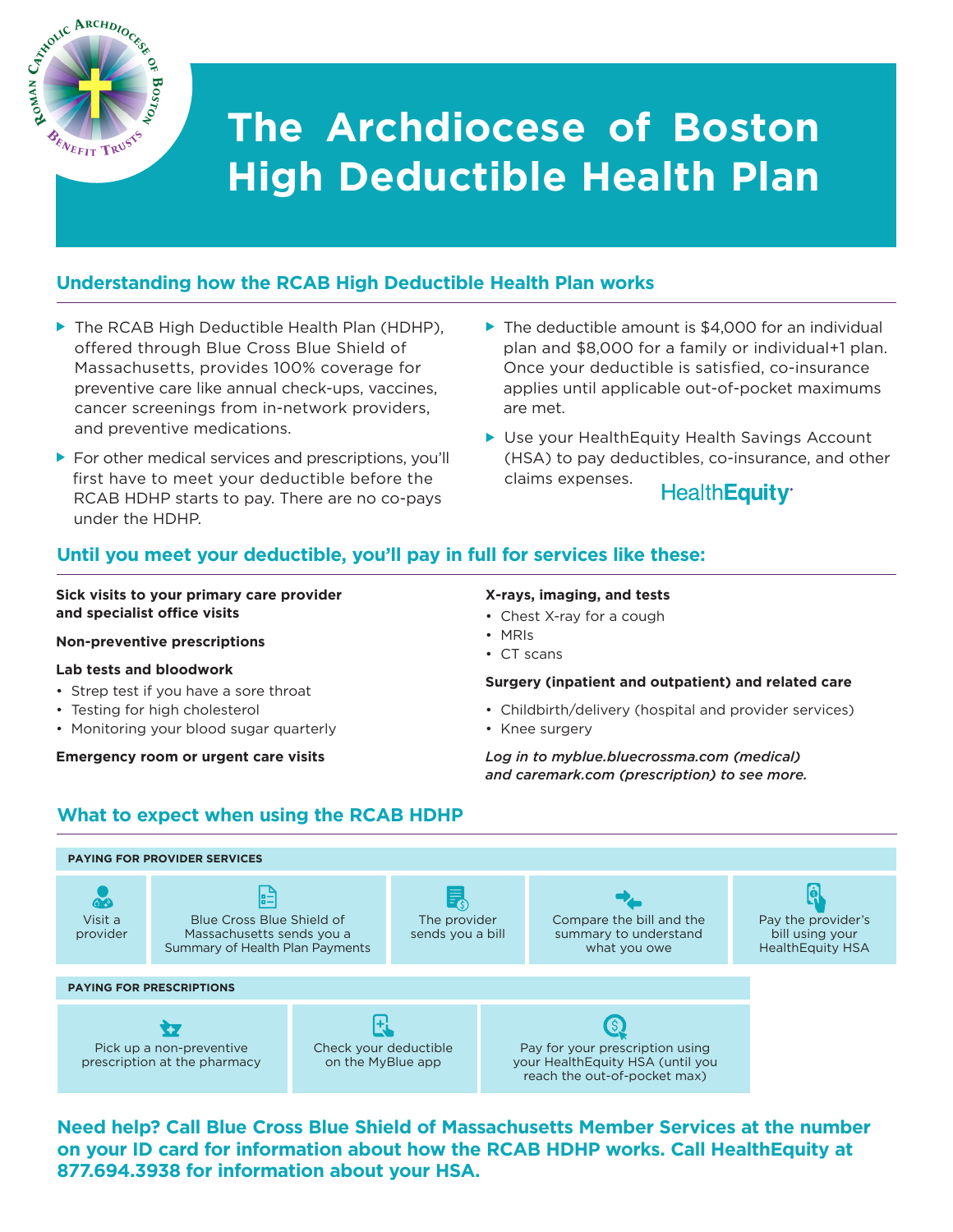

# **The Archdiocese of Boston High Deductible Health Plan**

# **Understanding how the RCAB High Deductible Health Plan works**

- ▶ The RCAB High Deductible Health Plan (HDHP), offered through Blue Cross Blue Shield of Massachusetts, provides 100% coverage for preventive care like annual check-ups, vaccines, cancer screenings from in-network providers, and preventive medications.
- ► For other medical services and prescriptions, you'll first have to meet your deductible before the RCAB HDHP starts to pay. There are no co-pays under the HDHP.
- ▶ The deductible amount is \$4,000 for an individual plan and \$8,000 for a family or individual+1 plan. Once your deductible is satisfied, co-insurance applies until applicable out-of-pocket maximums are met.
- ► Use your HealthEquity Health Savings Account (HSA) to pay deductibles, co-insurance, and other claims expenses.

**HealthEquity** 

# **Until you meet your deductible, you'll pay in full for services like these:**

# **Sick visits to your primary care provider and specialist office visits**

# **Non-preventive prescriptions**

# **Lab tests and bloodwork**

- Strep test if you have a sore throat
- Testing for high cholesterol
- Monitoring your blood sugar quarterly

**Emergency room or urgent care visits**

# **X-rays, imaging, and tests**

- Chest X-ray for a cough
- MRIs
- CT scans

# **Surgery (inpatient and outpatient) and related care**

- Childbirth/delivery (hospital and provider services)
- Knee surgery

*Log in to myblue.bluecrossma.com (medical) and caremark.com (prescription) to see more.*

# **What to expect when using the RCAB HDHP**



**Need help? Call Blue Cross Blue Shield of Massachusetts Member Services at the number on your ID card for information about how the RCAB HDHP works. Call HealthEquity at 877.694.3938 for information about your HSA.**